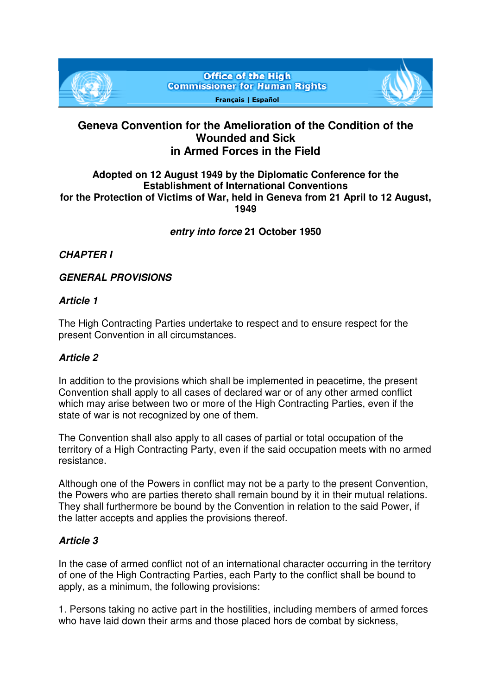# **Office of the High Commissioner for Human Rights** Français | Español

## **Geneva Convention for the Amelioration of the Condition of the Wounded and Sick in Armed Forces in the Field**

#### **Adopted on 12 August 1949 by the Diplomatic Conference for the Establishment of International Conventions for the Protection of Victims of War, held in Geneva from 21 April to 12 August, 1949**

## **entry into force 21 October 1950**

## **CHAPTER I**

## **GENERAL PROVISIONS**

#### **Article 1**

The High Contracting Parties undertake to respect and to ensure respect for the present Convention in all circumstances.

## **Article 2**

In addition to the provisions which shall be implemented in peacetime, the present Convention shall apply to all cases of declared war or of any other armed conflict which may arise between two or more of the High Contracting Parties, even if the state of war is not recognized by one of them.

The Convention shall also apply to all cases of partial or total occupation of the territory of a High Contracting Party, even if the said occupation meets with no armed resistance.

Although one of the Powers in conflict may not be a party to the present Convention, the Powers who are parties thereto shall remain bound by it in their mutual relations. They shall furthermore be bound by the Convention in relation to the said Power, if the latter accepts and applies the provisions thereof.

## **Article 3**

In the case of armed conflict not of an international character occurring in the territory of one of the High Contracting Parties, each Party to the conflict shall be bound to apply, as a minimum, the following provisions:

1. Persons taking no active part in the hostilities, including members of armed forces who have laid down their arms and those placed hors de combat by sickness,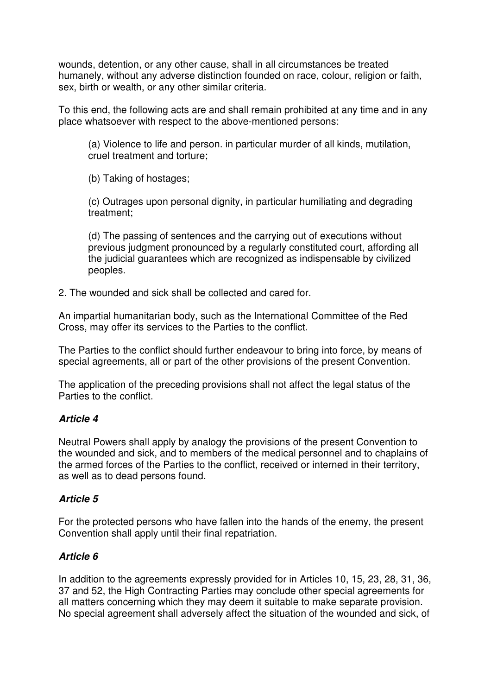wounds, detention, or any other cause, shall in all circumstances be treated humanely, without any adverse distinction founded on race, colour, religion or faith, sex, birth or wealth, or any other similar criteria.

To this end, the following acts are and shall remain prohibited at any time and in any place whatsoever with respect to the above-mentioned persons:

(a) Violence to life and person. in particular murder of all kinds, mutilation, cruel treatment and torture;

(b) Taking of hostages;

(c) Outrages upon personal dignity, in particular humiliating and degrading treatment;

(d) The passing of sentences and the carrying out of executions without previous judgment pronounced by a regularly constituted court, affording all the judicial guarantees which are recognized as indispensable by civilized peoples.

2. The wounded and sick shall be collected and cared for.

An impartial humanitarian body, such as the International Committee of the Red Cross, may offer its services to the Parties to the conflict.

The Parties to the conflict should further endeavour to bring into force, by means of special agreements, all or part of the other provisions of the present Convention.

The application of the preceding provisions shall not affect the legal status of the Parties to the conflict.

## **Article 4**

Neutral Powers shall apply by analogy the provisions of the present Convention to the wounded and sick, and to members of the medical personnel and to chaplains of the armed forces of the Parties to the conflict, received or interned in their territory, as well as to dead persons found.

## **Article 5**

For the protected persons who have fallen into the hands of the enemy, the present Convention shall apply until their final repatriation.

# **Article 6**

In addition to the agreements expressly provided for in Articles 10, 15, 23, 28, 31, 36, 37 and 52, the High Contracting Parties may conclude other special agreements for all matters concerning which they may deem it suitable to make separate provision. No special agreement shall adversely affect the situation of the wounded and sick, of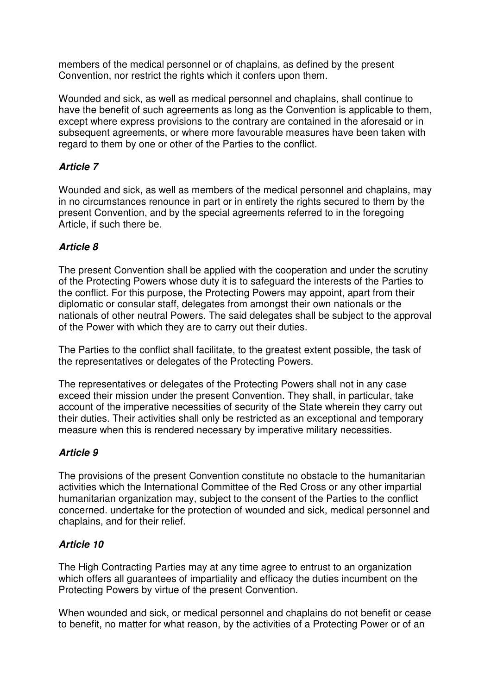members of the medical personnel or of chaplains, as defined by the present Convention, nor restrict the rights which it confers upon them.

Wounded and sick, as well as medical personnel and chaplains, shall continue to have the benefit of such agreements as long as the Convention is applicable to them, except where express provisions to the contrary are contained in the aforesaid or in subsequent agreements, or where more favourable measures have been taken with regard to them by one or other of the Parties to the conflict.

## **Article 7**

Wounded and sick, as well as members of the medical personnel and chaplains, may in no circumstances renounce in part or in entirety the rights secured to them by the present Convention, and by the special agreements referred to in the foregoing Article, if such there be.

## **Article 8**

The present Convention shall be applied with the cooperation and under the scrutiny of the Protecting Powers whose duty it is to safeguard the interests of the Parties to the conflict. For this purpose, the Protecting Powers may appoint, apart from their diplomatic or consular staff, delegates from amongst their own nationals or the nationals of other neutral Powers. The said delegates shall be subject to the approval of the Power with which they are to carry out their duties.

The Parties to the conflict shall facilitate, to the greatest extent possible, the task of the representatives or delegates of the Protecting Powers.

The representatives or delegates of the Protecting Powers shall not in any case exceed their mission under the present Convention. They shall, in particular, take account of the imperative necessities of security of the State wherein they carry out their duties. Their activities shall only be restricted as an exceptional and temporary measure when this is rendered necessary by imperative military necessities.

## **Article 9**

The provisions of the present Convention constitute no obstacle to the humanitarian activities which the International Committee of the Red Cross or any other impartial humanitarian organization may, subject to the consent of the Parties to the conflict concerned. undertake for the protection of wounded and sick, medical personnel and chaplains, and for their relief.

## **Article 10**

The High Contracting Parties may at any time agree to entrust to an organization which offers all guarantees of impartiality and efficacy the duties incumbent on the Protecting Powers by virtue of the present Convention.

When wounded and sick, or medical personnel and chaplains do not benefit or cease to benefit, no matter for what reason, by the activities of a Protecting Power or of an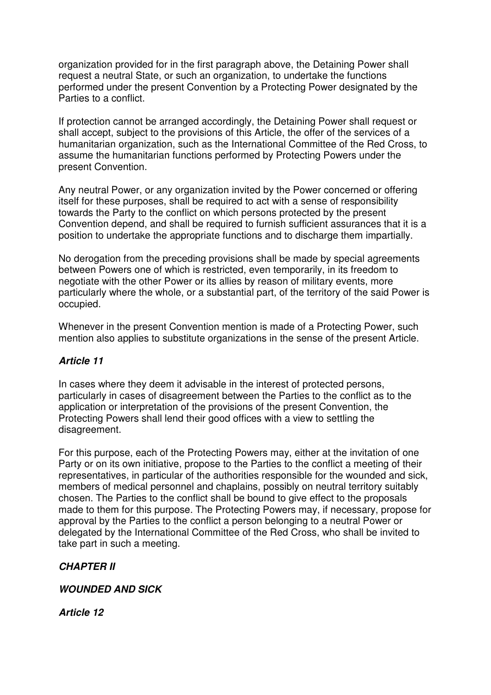organization provided for in the first paragraph above, the Detaining Power shall request a neutral State, or such an organization, to undertake the functions performed under the present Convention by a Protecting Power designated by the Parties to a conflict.

If protection cannot be arranged accordingly, the Detaining Power shall request or shall accept, subject to the provisions of this Article, the offer of the services of a humanitarian organization, such as the International Committee of the Red Cross, to assume the humanitarian functions performed by Protecting Powers under the present Convention.

Any neutral Power, or any organization invited by the Power concerned or offering itself for these purposes, shall be required to act with a sense of responsibility towards the Party to the conflict on which persons protected by the present Convention depend, and shall be required to furnish sufficient assurances that it is a position to undertake the appropriate functions and to discharge them impartially.

No derogation from the preceding provisions shall be made by special agreements between Powers one of which is restricted, even temporarily, in its freedom to negotiate with the other Power or its allies by reason of military events, more particularly where the whole, or a substantial part, of the territory of the said Power is occupied.

Whenever in the present Convention mention is made of a Protecting Power, such mention also applies to substitute organizations in the sense of the present Article.

## **Article 11**

In cases where they deem it advisable in the interest of protected persons, particularly in cases of disagreement between the Parties to the conflict as to the application or interpretation of the provisions of the present Convention, the Protecting Powers shall lend their good offices with a view to settling the disagreement.

For this purpose, each of the Protecting Powers may, either at the invitation of one Party or on its own initiative, propose to the Parties to the conflict a meeting of their representatives, in particular of the authorities responsible for the wounded and sick, members of medical personnel and chaplains, possibly on neutral territory suitably chosen. The Parties to the conflict shall be bound to give effect to the proposals made to them for this purpose. The Protecting Powers may, if necessary, propose for approval by the Parties to the conflict a person belonging to a neutral Power or delegated by the International Committee of the Red Cross, who shall be invited to take part in such a meeting.

# **CHAPTER II**

## **WOUNDED AND SICK**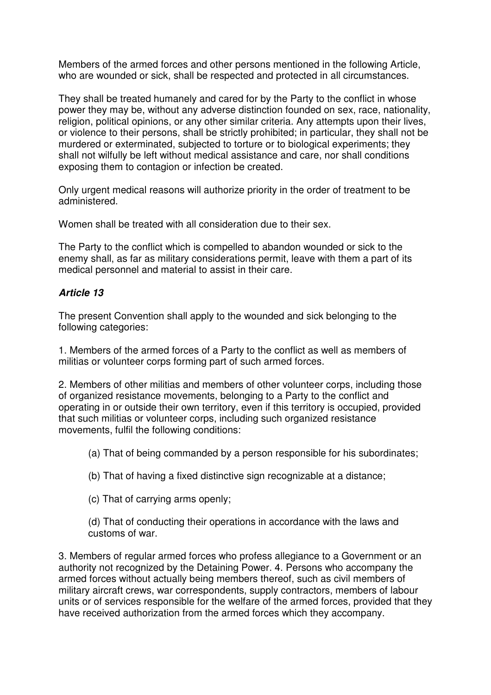Members of the armed forces and other persons mentioned in the following Article, who are wounded or sick, shall be respected and protected in all circumstances.

They shall be treated humanely and cared for by the Party to the conflict in whose power they may be, without any adverse distinction founded on sex, race, nationality, religion, political opinions, or any other similar criteria. Any attempts upon their lives, or violence to their persons, shall be strictly prohibited; in particular, they shall not be murdered or exterminated, subjected to torture or to biological experiments; they shall not wilfully be left without medical assistance and care, nor shall conditions exposing them to contagion or infection be created.

Only urgent medical reasons will authorize priority in the order of treatment to be administered.

Women shall be treated with all consideration due to their sex.

The Party to the conflict which is compelled to abandon wounded or sick to the enemy shall, as far as military considerations permit, leave with them a part of its medical personnel and material to assist in their care.

## **Article 13**

The present Convention shall apply to the wounded and sick belonging to the following categories:

1. Members of the armed forces of a Party to the conflict as well as members of militias or volunteer corps forming part of such armed forces.

2. Members of other militias and members of other volunteer corps, including those of organized resistance movements, belonging to a Party to the conflict and operating in or outside their own territory, even if this territory is occupied, provided that such militias or volunteer corps, including such organized resistance movements, fulfil the following conditions:

- (a) That of being commanded by a person responsible for his subordinates;
- (b) That of having a fixed distinctive sign recognizable at a distance;
- (c) That of carrying arms openly;

(d) That of conducting their operations in accordance with the laws and customs of war.

3. Members of regular armed forces who profess allegiance to a Government or an authority not recognized by the Detaining Power. 4. Persons who accompany the armed forces without actually being members thereof, such as civil members of military aircraft crews, war correspondents, supply contractors, members of labour units or of services responsible for the welfare of the armed forces, provided that they have received authorization from the armed forces which they accompany.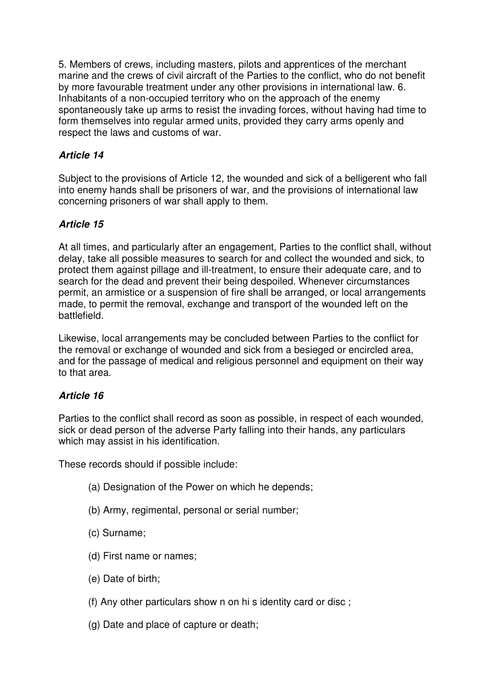5. Members of crews, including masters, pilots and apprentices of the merchant marine and the crews of civil aircraft of the Parties to the conflict, who do not benefit by more favourable treatment under any other provisions in international law. 6. Inhabitants of a non-occupied territory who on the approach of the enemy spontaneously take up arms to resist the invading forces, without having had time to form themselves into regular armed units, provided they carry arms openly and respect the laws and customs of war.

## **Article 14**

Subject to the provisions of Article 12, the wounded and sick of a belligerent who fall into enemy hands shall be prisoners of war, and the provisions of international law concerning prisoners of war shall apply to them.

## **Article 15**

At all times, and particularly after an engagement, Parties to the conflict shall, without delay, take all possible measures to search for and collect the wounded and sick, to protect them against pillage and ill-treatment, to ensure their adequate care, and to search for the dead and prevent their being despoiled. Whenever circumstances permit, an armistice or a suspension of fire shall be arranged, or local arrangements made, to permit the removal, exchange and transport of the wounded left on the battlefield.

Likewise, local arrangements may be concluded between Parties to the conflict for the removal or exchange of wounded and sick from a besieged or encircled area, and for the passage of medical and religious personnel and equipment on their way to that area.

## **Article 16**

Parties to the conflict shall record as soon as possible, in respect of each wounded, sick or dead person of the adverse Party falling into their hands, any particulars which may assist in his identification.

These records should if possible include:

- (a) Designation of the Power on which he depends;
- (b) Army, regimental, personal or serial number;
- (c) Surname;
- (d) First name or names;
- (e) Date of birth;
- (f) Any other particulars show n on hi s identity card or disc ;
- (g) Date and place of capture or death;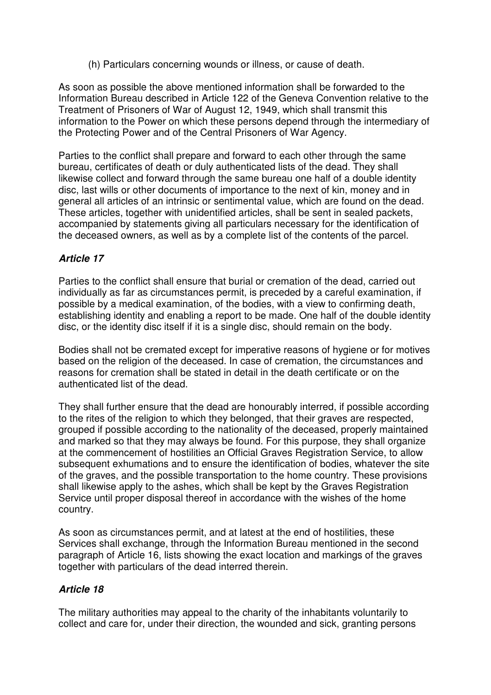(h) Particulars concerning wounds or illness, or cause of death.

As soon as possible the above mentioned information shall be forwarded to the Information Bureau described in Article 122 of the Geneva Convention relative to the Treatment of Prisoners of War of August 12, 1949, which shall transmit this information to the Power on which these persons depend through the intermediary of the Protecting Power and of the Central Prisoners of War Agency.

Parties to the conflict shall prepare and forward to each other through the same bureau, certificates of death or duly authenticated lists of the dead. They shall likewise collect and forward through the same bureau one half of a double identity disc, last wills or other documents of importance to the next of kin, money and in general all articles of an intrinsic or sentimental value, which are found on the dead. These articles, together with unidentified articles, shall be sent in sealed packets, accompanied by statements giving all particulars necessary for the identification of the deceased owners, as well as by a complete list of the contents of the parcel.

## **Article 17**

Parties to the conflict shall ensure that burial or cremation of the dead, carried out individually as far as circumstances permit, is preceded by a careful examination, if possible by a medical examination, of the bodies, with a view to confirming death, establishing identity and enabling a report to be made. One half of the double identity disc, or the identity disc itself if it is a single disc, should remain on the body.

Bodies shall not be cremated except for imperative reasons of hygiene or for motives based on the religion of the deceased. In case of cremation, the circumstances and reasons for cremation shall be stated in detail in the death certificate or on the authenticated list of the dead.

They shall further ensure that the dead are honourably interred, if possible according to the rites of the religion to which they belonged, that their graves are respected, grouped if possible according to the nationality of the deceased, properly maintained and marked so that they may always be found. For this purpose, they shall organize at the commencement of hostilities an Official Graves Registration Service, to allow subsequent exhumations and to ensure the identification of bodies, whatever the site of the graves, and the possible transportation to the home country. These provisions shall likewise apply to the ashes, which shall be kept by the Graves Registration Service until proper disposal thereof in accordance with the wishes of the home country.

As soon as circumstances permit, and at latest at the end of hostilities, these Services shall exchange, through the Information Bureau mentioned in the second paragraph of Article 16, lists showing the exact location and markings of the graves together with particulars of the dead interred therein.

## **Article 18**

The military authorities may appeal to the charity of the inhabitants voluntarily to collect and care for, under their direction, the wounded and sick, granting persons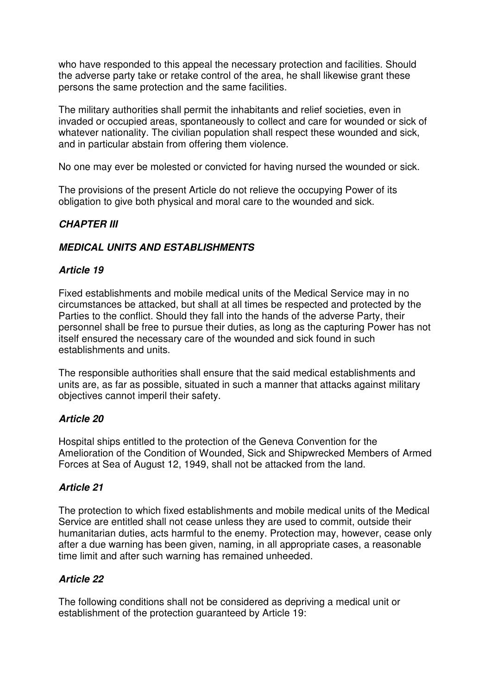who have responded to this appeal the necessary protection and facilities. Should the adverse party take or retake control of the area, he shall likewise grant these persons the same protection and the same facilities.

The military authorities shall permit the inhabitants and relief societies, even in invaded or occupied areas, spontaneously to collect and care for wounded or sick of whatever nationality. The civilian population shall respect these wounded and sick, and in particular abstain from offering them violence.

No one may ever be molested or convicted for having nursed the wounded or sick.

The provisions of the present Article do not relieve the occupying Power of its obligation to give both physical and moral care to the wounded and sick.

## **CHAPTER III**

## **MEDICAL UNITS AND ESTABLISHMENTS**

## **Article 19**

Fixed establishments and mobile medical units of the Medical Service may in no circumstances be attacked, but shall at all times be respected and protected by the Parties to the conflict. Should they fall into the hands of the adverse Party, their personnel shall be free to pursue their duties, as long as the capturing Power has not itself ensured the necessary care of the wounded and sick found in such establishments and units.

The responsible authorities shall ensure that the said medical establishments and units are, as far as possible, situated in such a manner that attacks against military objectives cannot imperil their safety.

## **Article 20**

Hospital ships entitled to the protection of the Geneva Convention for the Amelioration of the Condition of Wounded, Sick and Shipwrecked Members of Armed Forces at Sea of August 12, 1949, shall not be attacked from the land.

## **Article 21**

The protection to which fixed establishments and mobile medical units of the Medical Service are entitled shall not cease unless they are used to commit, outside their humanitarian duties, acts harmful to the enemy. Protection may, however, cease only after a due warning has been given, naming, in all appropriate cases, a reasonable time limit and after such warning has remained unheeded.

# **Article 22**

The following conditions shall not be considered as depriving a medical unit or establishment of the protection guaranteed by Article 19: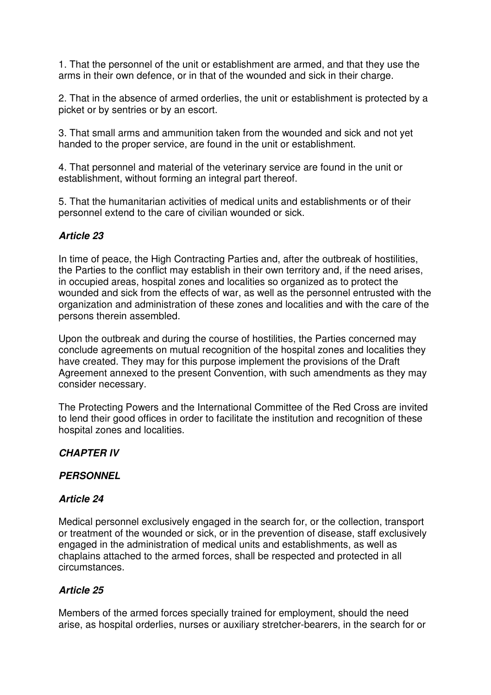1. That the personnel of the unit or establishment are armed, and that they use the arms in their own defence, or in that of the wounded and sick in their charge.

2. That in the absence of armed orderlies, the unit or establishment is protected by a picket or by sentries or by an escort.

3. That small arms and ammunition taken from the wounded and sick and not yet handed to the proper service, are found in the unit or establishment.

4. That personnel and material of the veterinary service are found in the unit or establishment, without forming an integral part thereof.

5. That the humanitarian activities of medical units and establishments or of their personnel extend to the care of civilian wounded or sick.

# **Article 23**

In time of peace, the High Contracting Parties and, after the outbreak of hostilities, the Parties to the conflict may establish in their own territory and, if the need arises, in occupied areas, hospital zones and localities so organized as to protect the wounded and sick from the effects of war, as well as the personnel entrusted with the organization and administration of these zones and localities and with the care of the persons therein assembled.

Upon the outbreak and during the course of hostilities, the Parties concerned may conclude agreements on mutual recognition of the hospital zones and localities they have created. They may for this purpose implement the provisions of the Draft Agreement annexed to the present Convention, with such amendments as they may consider necessary.

The Protecting Powers and the International Committee of the Red Cross are invited to lend their good offices in order to facilitate the institution and recognition of these hospital zones and localities.

# **CHAPTER IV**

## **PERSONNEL**

## **Article 24**

Medical personnel exclusively engaged in the search for, or the collection, transport or treatment of the wounded or sick, or in the prevention of disease, staff exclusively engaged in the administration of medical units and establishments, as well as chaplains attached to the armed forces, shall be respected and protected in all circumstances.

# **Article 25**

Members of the armed forces specially trained for employment, should the need arise, as hospital orderlies, nurses or auxiliary stretcher-bearers, in the search for or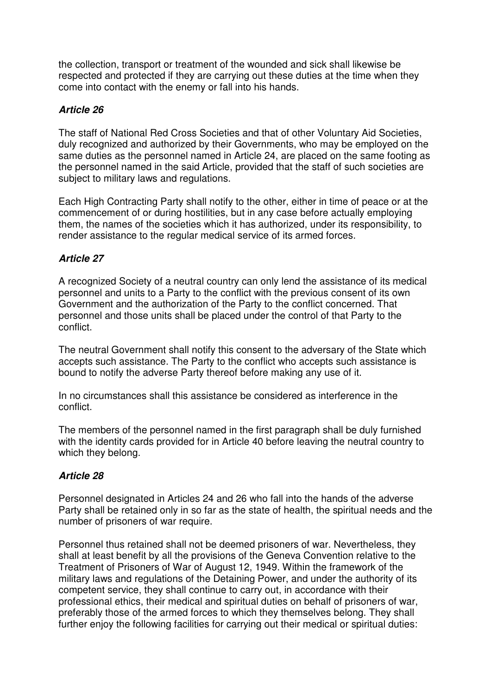the collection, transport or treatment of the wounded and sick shall likewise be respected and protected if they are carrying out these duties at the time when they come into contact with the enemy or fall into his hands.

## **Article 26**

The staff of National Red Cross Societies and that of other Voluntary Aid Societies, duly recognized and authorized by their Governments, who may be employed on the same duties as the personnel named in Article 24, are placed on the same footing as the personnel named in the said Article, provided that the staff of such societies are subject to military laws and regulations.

Each High Contracting Party shall notify to the other, either in time of peace or at the commencement of or during hostilities, but in any case before actually employing them, the names of the societies which it has authorized, under its responsibility, to render assistance to the regular medical service of its armed forces.

## **Article 27**

A recognized Society of a neutral country can only lend the assistance of its medical personnel and units to a Party to the conflict with the previous consent of its own Government and the authorization of the Party to the conflict concerned. That personnel and those units shall be placed under the control of that Party to the conflict.

The neutral Government shall notify this consent to the adversary of the State which accepts such assistance. The Party to the conflict who accepts such assistance is bound to notify the adverse Party thereof before making any use of it.

In no circumstances shall this assistance be considered as interference in the conflict.

The members of the personnel named in the first paragraph shall be duly furnished with the identity cards provided for in Article 40 before leaving the neutral country to which they belong.

# **Article 28**

Personnel designated in Articles 24 and 26 who fall into the hands of the adverse Party shall be retained only in so far as the state of health, the spiritual needs and the number of prisoners of war require.

Personnel thus retained shall not be deemed prisoners of war. Nevertheless, they shall at least benefit by all the provisions of the Geneva Convention relative to the Treatment of Prisoners of War of August 12, 1949. Within the framework of the military laws and regulations of the Detaining Power, and under the authority of its competent service, they shall continue to carry out, in accordance with their professional ethics, their medical and spiritual duties on behalf of prisoners of war, preferably those of the armed forces to which they themselves belong. They shall further enjoy the following facilities for carrying out their medical or spiritual duties: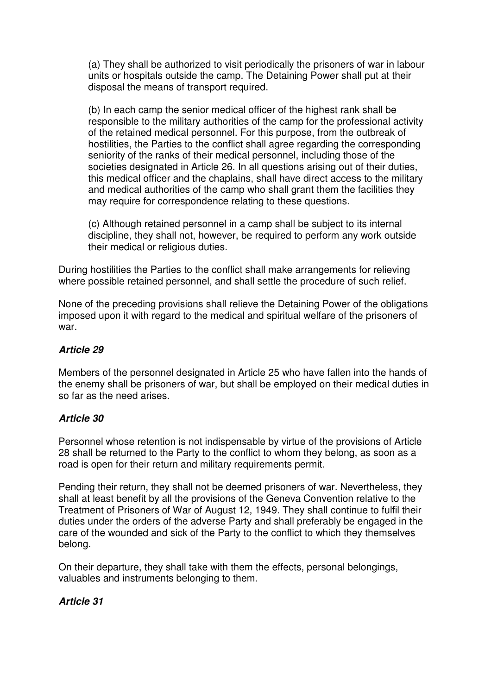(a) They shall be authorized to visit periodically the prisoners of war in labour units or hospitals outside the camp. The Detaining Power shall put at their disposal the means of transport required.

(b) In each camp the senior medical officer of the highest rank shall be responsible to the military authorities of the camp for the professional activity of the retained medical personnel. For this purpose, from the outbreak of hostilities, the Parties to the conflict shall agree regarding the corresponding seniority of the ranks of their medical personnel, including those of the societies designated in Article 26. In all questions arising out of their duties, this medical officer and the chaplains, shall have direct access to the military and medical authorities of the camp who shall grant them the facilities they may require for correspondence relating to these questions.

(c) Although retained personnel in a camp shall be subject to its internal discipline, they shall not, however, be required to perform any work outside their medical or religious duties.

During hostilities the Parties to the conflict shall make arrangements for relieving where possible retained personnel, and shall settle the procedure of such relief.

None of the preceding provisions shall relieve the Detaining Power of the obligations imposed upon it with regard to the medical and spiritual welfare of the prisoners of war.

## **Article 29**

Members of the personnel designated in Article 25 who have fallen into the hands of the enemy shall be prisoners of war, but shall be employed on their medical duties in so far as the need arises.

## **Article 30**

Personnel whose retention is not indispensable by virtue of the provisions of Article 28 shall be returned to the Party to the conflict to whom they belong, as soon as a road is open for their return and military requirements permit.

Pending their return, they shall not be deemed prisoners of war. Nevertheless, they shall at least benefit by all the provisions of the Geneva Convention relative to the Treatment of Prisoners of War of August 12, 1949. They shall continue to fulfil their duties under the orders of the adverse Party and shall preferably be engaged in the care of the wounded and sick of the Party to the conflict to which they themselves belong.

On their departure, they shall take with them the effects, personal belongings, valuables and instruments belonging to them.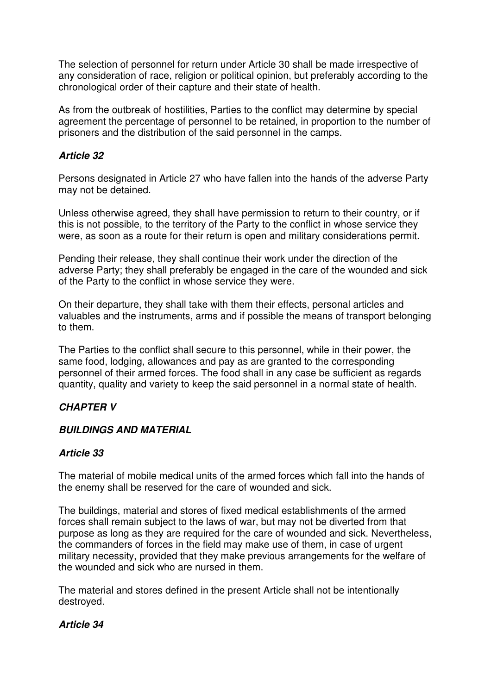The selection of personnel for return under Article 30 shall be made irrespective of any consideration of race, religion or political opinion, but preferably according to the chronological order of their capture and their state of health.

As from the outbreak of hostilities, Parties to the conflict may determine by special agreement the percentage of personnel to be retained, in proportion to the number of prisoners and the distribution of the said personnel in the camps.

## **Article 32**

Persons designated in Article 27 who have fallen into the hands of the adverse Party may not be detained.

Unless otherwise agreed, they shall have permission to return to their country, or if this is not possible, to the territory of the Party to the conflict in whose service they were, as soon as a route for their return is open and military considerations permit.

Pending their release, they shall continue their work under the direction of the adverse Party; they shall preferably be engaged in the care of the wounded and sick of the Party to the conflict in whose service they were.

On their departure, they shall take with them their effects, personal articles and valuables and the instruments, arms and if possible the means of transport belonging to them.

The Parties to the conflict shall secure to this personnel, while in their power, the same food, lodging, allowances and pay as are granted to the corresponding personnel of their armed forces. The food shall in any case be sufficient as regards quantity, quality and variety to keep the said personnel in a normal state of health.

# **CHAPTER V**

# **BUILDINGS AND MATERIAL**

## **Article 33**

The material of mobile medical units of the armed forces which fall into the hands of the enemy shall be reserved for the care of wounded and sick.

The buildings, material and stores of fixed medical establishments of the armed forces shall remain subject to the laws of war, but may not be diverted from that purpose as long as they are required for the care of wounded and sick. Nevertheless, the commanders of forces in the field may make use of them, in case of urgent military necessity, provided that they make previous arrangements for the welfare of the wounded and sick who are nursed in them.

The material and stores defined in the present Article shall not be intentionally destroyed.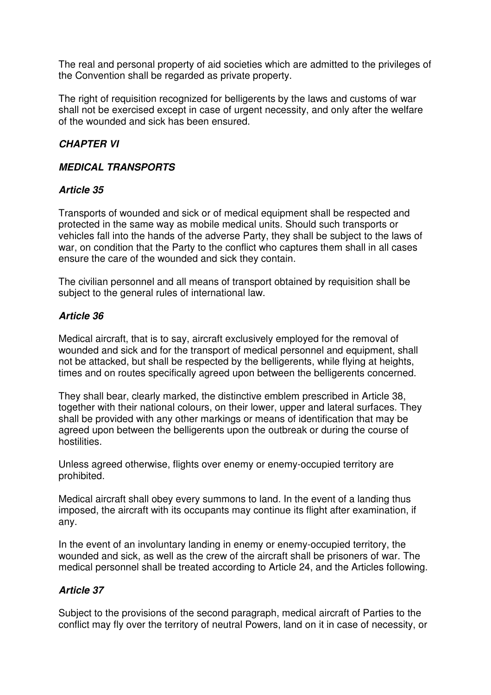The real and personal property of aid societies which are admitted to the privileges of the Convention shall be regarded as private property.

The right of requisition recognized for belligerents by the laws and customs of war shall not be exercised except in case of urgent necessity, and only after the welfare of the wounded and sick has been ensured.

## **CHAPTER VI**

#### **MEDICAL TRANSPORTS**

#### **Article 35**

Transports of wounded and sick or of medical equipment shall be respected and protected in the same way as mobile medical units. Should such transports or vehicles fall into the hands of the adverse Party, they shall be subject to the laws of war, on condition that the Party to the conflict who captures them shall in all cases ensure the care of the wounded and sick they contain.

The civilian personnel and all means of transport obtained by requisition shall be subject to the general rules of international law.

#### **Article 36**

Medical aircraft, that is to say, aircraft exclusively employed for the removal of wounded and sick and for the transport of medical personnel and equipment, shall not be attacked, but shall be respected by the belligerents, while flying at heights, times and on routes specifically agreed upon between the belligerents concerned.

They shall bear, clearly marked, the distinctive emblem prescribed in Article 38, together with their national colours, on their lower, upper and lateral surfaces. They shall be provided with any other markings or means of identification that may be agreed upon between the belligerents upon the outbreak or during the course of hostilities.

Unless agreed otherwise, flights over enemy or enemy-occupied territory are prohibited.

Medical aircraft shall obey every summons to land. In the event of a landing thus imposed, the aircraft with its occupants may continue its flight after examination, if any.

In the event of an involuntary landing in enemy or enemy-occupied territory, the wounded and sick, as well as the crew of the aircraft shall be prisoners of war. The medical personnel shall be treated according to Article 24, and the Articles following.

## **Article 37**

Subject to the provisions of the second paragraph, medical aircraft of Parties to the conflict may fly over the territory of neutral Powers, land on it in case of necessity, or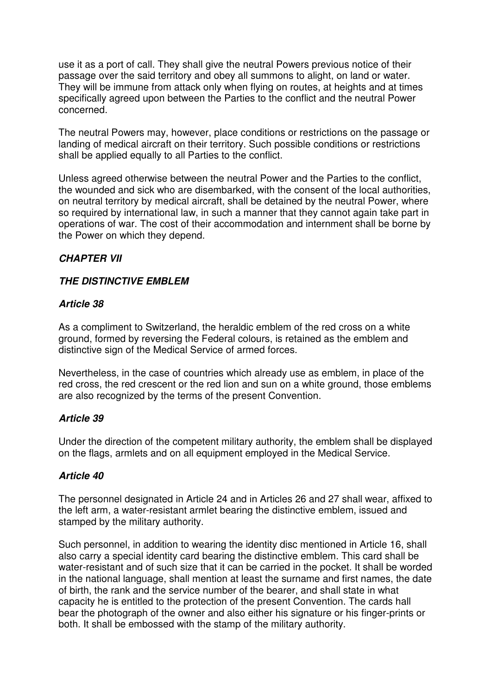use it as a port of call. They shall give the neutral Powers previous notice of their passage over the said territory and obey all summons to alight, on land or water. They will be immune from attack only when flying on routes, at heights and at times specifically agreed upon between the Parties to the conflict and the neutral Power concerned.

The neutral Powers may, however, place conditions or restrictions on the passage or landing of medical aircraft on their territory. Such possible conditions or restrictions shall be applied equally to all Parties to the conflict.

Unless agreed otherwise between the neutral Power and the Parties to the conflict, the wounded and sick who are disembarked, with the consent of the local authorities, on neutral territory by medical aircraft, shall be detained by the neutral Power, where so required by international law, in such a manner that they cannot again take part in operations of war. The cost of their accommodation and internment shall be borne by the Power on which they depend.

## **CHAPTER VII**

## **THE DISTINCTIVE EMBLEM**

#### **Article 38**

As a compliment to Switzerland, the heraldic emblem of the red cross on a white ground, formed by reversing the Federal colours, is retained as the emblem and distinctive sign of the Medical Service of armed forces.

Nevertheless, in the case of countries which already use as emblem, in place of the red cross, the red crescent or the red lion and sun on a white ground, those emblems are also recognized by the terms of the present Convention.

## **Article 39**

Under the direction of the competent military authority, the emblem shall be displayed on the flags, armlets and on all equipment employed in the Medical Service.

## **Article 40**

The personnel designated in Article 24 and in Articles 26 and 27 shall wear, affixed to the left arm, a water-resistant armlet bearing the distinctive emblem, issued and stamped by the military authority.

Such personnel, in addition to wearing the identity disc mentioned in Article 16, shall also carry a special identity card bearing the distinctive emblem. This card shall be water-resistant and of such size that it can be carried in the pocket. It shall be worded in the national language, shall mention at least the surname and first names, the date of birth, the rank and the service number of the bearer, and shall state in what capacity he is entitled to the protection of the present Convention. The cards hall bear the photograph of the owner and also either his signature or his finger-prints or both. It shall be embossed with the stamp of the military authority.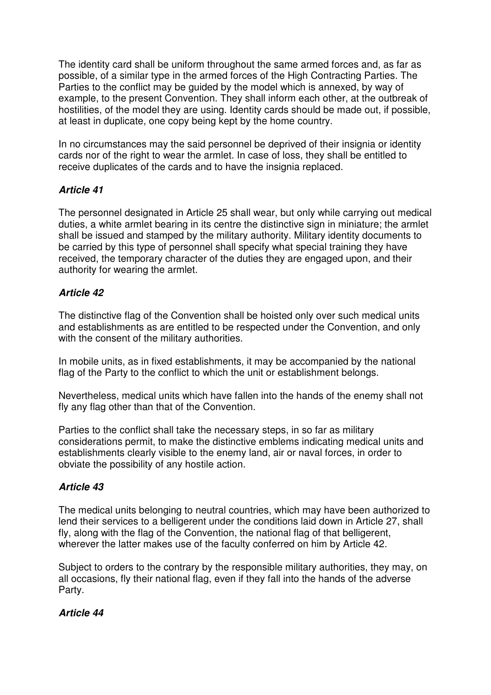The identity card shall be uniform throughout the same armed forces and, as far as possible, of a similar type in the armed forces of the High Contracting Parties. The Parties to the conflict may be guided by the model which is annexed, by way of example, to the present Convention. They shall inform each other, at the outbreak of hostilities, of the model they are using. Identity cards should be made out, if possible, at least in duplicate, one copy being kept by the home country.

In no circumstances may the said personnel be deprived of their insignia or identity cards nor of the right to wear the armlet. In case of loss, they shall be entitled to receive duplicates of the cards and to have the insignia replaced.

## **Article 41**

The personnel designated in Article 25 shall wear, but only while carrying out medical duties, a white armlet bearing in its centre the distinctive sign in miniature; the armlet shall be issued and stamped by the military authority. Military identity documents to be carried by this type of personnel shall specify what special training they have received, the temporary character of the duties they are engaged upon, and their authority for wearing the armlet.

## **Article 42**

The distinctive flag of the Convention shall be hoisted only over such medical units and establishments as are entitled to be respected under the Convention, and only with the consent of the military authorities.

In mobile units, as in fixed establishments, it may be accompanied by the national flag of the Party to the conflict to which the unit or establishment belongs.

Nevertheless, medical units which have fallen into the hands of the enemy shall not fly any flag other than that of the Convention.

Parties to the conflict shall take the necessary steps, in so far as military considerations permit, to make the distinctive emblems indicating medical units and establishments clearly visible to the enemy land, air or naval forces, in order to obviate the possibility of any hostile action.

## **Article 43**

The medical units belonging to neutral countries, which may have been authorized to lend their services to a belligerent under the conditions laid down in Article 27, shall fly, along with the flag of the Convention, the national flag of that belligerent, wherever the latter makes use of the faculty conferred on him by Article 42.

Subject to orders to the contrary by the responsible military authorities, they may, on all occasions, fly their national flag, even if they fall into the hands of the adverse Party.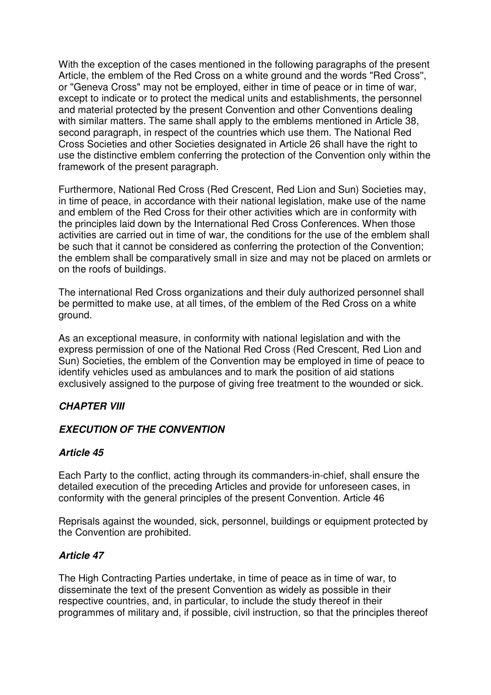With the exception of the cases mentioned in the following paragraphs of the present Article, the emblem of the Red Cross on a white ground and the words "Red Cross'', or "Geneva Cross" may not be employed, either in time of peace or in time of war, except to indicate or to protect the medical units and establishments, the personnel and material protected by the present Convention and other Conventions dealing with similar matters. The same shall apply to the emblems mentioned in Article 38, second paragraph, in respect of the countries which use them. The National Red Cross Societies and other Societies designated in Article 26 shall have the right to use the distinctive emblem conferring the protection of the Convention only within the framework of the present paragraph.

Furthermore, National Red Cross (Red Crescent, Red Lion and Sun) Societies may, in time of peace, in accordance with their national legislation, make use of the name and emblem of the Red Cross for their other activities which are in conformity with the principles laid down by the International Red Cross Conferences. When those activities are carried out in time of war, the conditions for the use of the emblem shall be such that it cannot be considered as conferring the protection of the Convention; the emblem shall be comparatively small in size and may not be placed on armlets or on the roofs of buildings.

The international Red Cross organizations and their duly authorized personnel shall be permitted to make use, at all times, of the emblem of the Red Cross on a white ground.

As an exceptional measure, in conformity with national legislation and with the express permission of one of the National Red Cross (Red Crescent, Red Lion and Sun) Societies, the emblem of the Convention may be employed in time of peace to identify vehicles used as ambulances and to mark the position of aid stations exclusively assigned to the purpose of giving free treatment to the wounded or sick.

## **CHAPTER VIII**

## **EXECUTION OF THE CONVENTION**

#### **Article 45**

Each Party to the conflict, acting through its commanders-in-chief, shall ensure the detailed execution of the preceding Articles and provide for unforeseen cases, in conformity with the general principles of the present Convention. Article 46

Reprisals against the wounded, sick, personnel, buildings or equipment protected by the Convention are prohibited.

#### **Article 47**

The High Contracting Parties undertake, in time of peace as in time of war, to disseminate the text of the present Convention as widely as possible in their respective countries, and, in particular, to include the study thereof in their programmes of military and, if possible, civil instruction, so that the principles thereof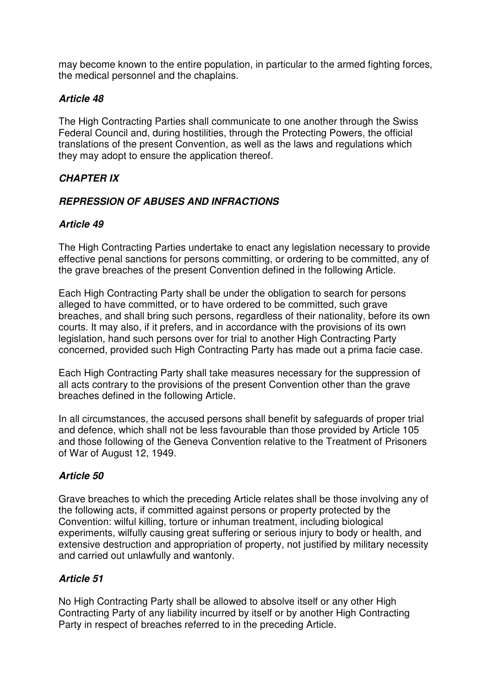may become known to the entire population, in particular to the armed fighting forces, the medical personnel and the chaplains.

## **Article 48**

The High Contracting Parties shall communicate to one another through the Swiss Federal Council and, during hostilities, through the Protecting Powers, the official translations of the present Convention, as well as the laws and regulations which they may adopt to ensure the application thereof.

## **CHAPTER IX**

## **REPRESSION OF ABUSES AND INFRACTIONS**

## **Article 49**

The High Contracting Parties undertake to enact any legislation necessary to provide effective penal sanctions for persons committing, or ordering to be committed, any of the grave breaches of the present Convention defined in the following Article.

Each High Contracting Party shall be under the obligation to search for persons alleged to have committed, or to have ordered to be committed, such grave breaches, and shall bring such persons, regardless of their nationality, before its own courts. It may also, if it prefers, and in accordance with the provisions of its own legislation, hand such persons over for trial to another High Contracting Party concerned, provided such High Contracting Party has made out a prima facie case.

Each High Contracting Party shall take measures necessary for the suppression of all acts contrary to the provisions of the present Convention other than the grave breaches defined in the following Article.

In all circumstances, the accused persons shall benefit by safeguards of proper trial and defence, which shall not be less favourable than those provided by Article 105 and those following of the Geneva Convention relative to the Treatment of Prisoners of War of August 12, 1949.

## **Article 50**

Grave breaches to which the preceding Article relates shall be those involving any of the following acts, if committed against persons or property protected by the Convention: wilful killing, torture or inhuman treatment, including biological experiments, wilfully causing great suffering or serious injury to body or health, and extensive destruction and appropriation of property, not justified by military necessity and carried out unlawfully and wantonly.

# **Article 51**

No High Contracting Party shall be allowed to absolve itself or any other High Contracting Party of any liability incurred by itself or by another High Contracting Party in respect of breaches referred to in the preceding Article.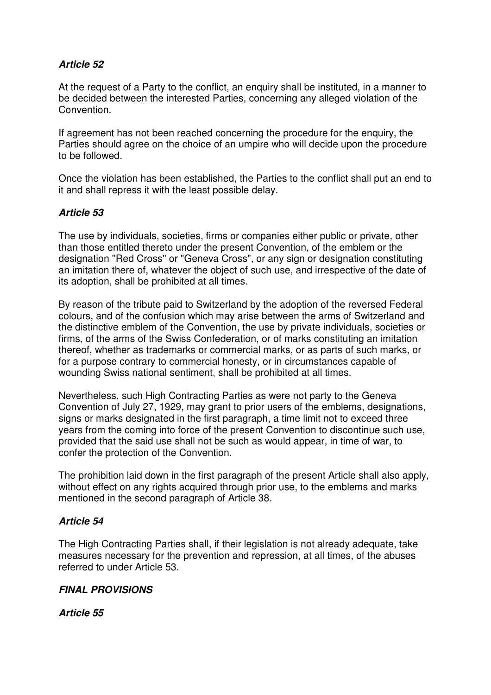## **Article 52**

At the request of a Party to the conflict, an enquiry shall be instituted, in a manner to be decided between the interested Parties, concerning any alleged violation of the Convention.

If agreement has not been reached concerning the procedure for the enquiry, the Parties should agree on the choice of an umpire who will decide upon the procedure to be followed.

Once the violation has been established, the Parties to the conflict shall put an end to it and shall repress it with the least possible delay.

## **Article 53**

The use by individuals, societies, firms or companies either public or private, other than those entitled thereto under the present Convention, of the emblem or the designation ''Red Cross'' or "Geneva Cross", or any sign or designation constituting an imitation there of, whatever the object of such use, and irrespective of the date of its adoption, shall be prohibited at all times.

By reason of the tribute paid to Switzerland by the adoption of the reversed Federal colours, and of the confusion which may arise between the arms of Switzerland and the distinctive emblem of the Convention, the use by private individuals, societies or firms, of the arms of the Swiss Confederation, or of marks constituting an imitation thereof, whether as trademarks or commercial marks, or as parts of such marks, or for a purpose contrary to commercial honesty, or in circumstances capable of wounding Swiss national sentiment, shall be prohibited at all times.

Nevertheless, such High Contracting Parties as were not party to the Geneva Convention of July 27, 1929, may grant to prior users of the emblems, designations, signs or marks designated in the first paragraph, a time limit not to exceed three years from the coming into force of the present Convention to discontinue such use, provided that the said use shall not be such as would appear, in time of war, to confer the protection of the Convention.

The prohibition laid down in the first paragraph of the present Article shall also apply, without effect on any rights acquired through prior use, to the emblems and marks mentioned in the second paragraph of Article 38.

## **Article 54**

The High Contracting Parties shall, if their legislation is not already adequate, take measures necessary for the prevention and repression, at all times, of the abuses referred to under Article 53.

## **FINAL PROVISIONS**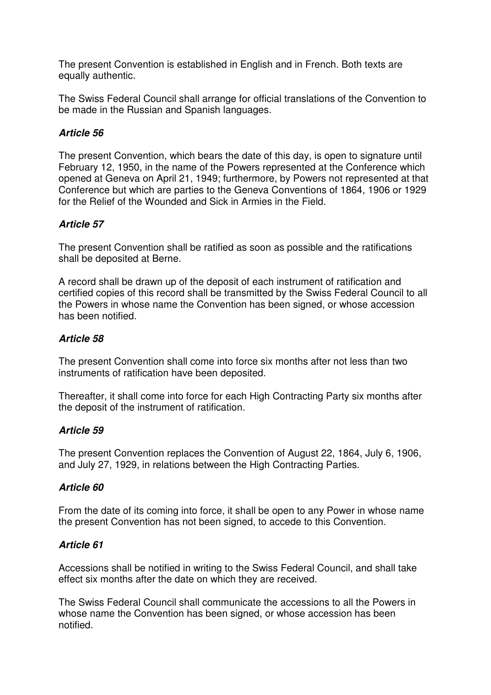The present Convention is established in English and in French. Both texts are equally authentic.

The Swiss Federal Council shall arrange for official translations of the Convention to be made in the Russian and Spanish languages.

## **Article 56**

The present Convention, which bears the date of this day, is open to signature until February 12, 1950, in the name of the Powers represented at the Conference which opened at Geneva on April 21, 1949; furthermore, by Powers not represented at that Conference but which are parties to the Geneva Conventions of 1864, 1906 or 1929 for the Relief of the Wounded and Sick in Armies in the Field.

## **Article 57**

The present Convention shall be ratified as soon as possible and the ratifications shall be deposited at Berne.

A record shall be drawn up of the deposit of each instrument of ratification and certified copies of this record shall be transmitted by the Swiss Federal Council to all the Powers in whose name the Convention has been signed, or whose accession has been notified.

## **Article 58**

The present Convention shall come into force six months after not less than two instruments of ratification have been deposited.

Thereafter, it shall come into force for each High Contracting Party six months after the deposit of the instrument of ratification.

## **Article 59**

The present Convention replaces the Convention of August 22, 1864, July 6, 1906, and July 27, 1929, in relations between the High Contracting Parties.

## **Article 60**

From the date of its coming into force, it shall be open to any Power in whose name the present Convention has not been signed, to accede to this Convention.

## **Article 61**

Accessions shall be notified in writing to the Swiss Federal Council, and shall take effect six months after the date on which they are received.

The Swiss Federal Council shall communicate the accessions to all the Powers in whose name the Convention has been signed, or whose accession has been notified.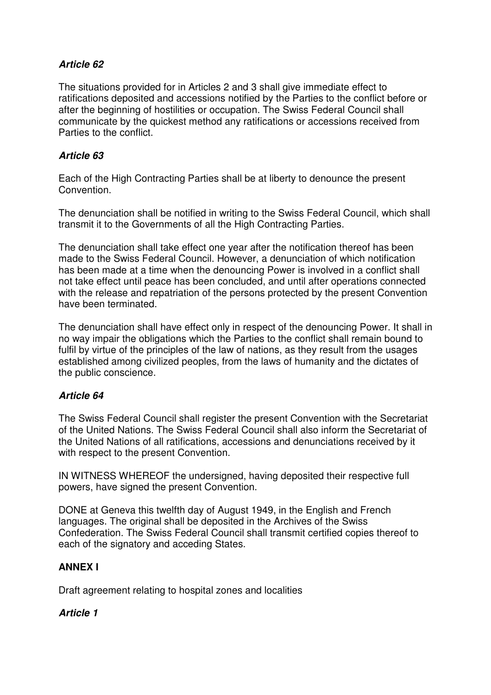# **Article 62**

The situations provided for in Articles 2 and 3 shall give immediate effect to ratifications deposited and accessions notified by the Parties to the conflict before or after the beginning of hostilities or occupation. The Swiss Federal Council shall communicate by the quickest method any ratifications or accessions received from Parties to the conflict.

## **Article 63**

Each of the High Contracting Parties shall be at liberty to denounce the present Convention.

The denunciation shall be notified in writing to the Swiss Federal Council, which shall transmit it to the Governments of all the High Contracting Parties.

The denunciation shall take effect one year after the notification thereof has been made to the Swiss Federal Council. However, a denunciation of which notification has been made at a time when the denouncing Power is involved in a conflict shall not take effect until peace has been concluded, and until after operations connected with the release and repatriation of the persons protected by the present Convention have been terminated.

The denunciation shall have effect only in respect of the denouncing Power. It shall in no way impair the obligations which the Parties to the conflict shall remain bound to fulfil by virtue of the principles of the law of nations, as they result from the usages established among civilized peoples, from the laws of humanity and the dictates of the public conscience.

# **Article 64**

The Swiss Federal Council shall register the present Convention with the Secretariat of the United Nations. The Swiss Federal Council shall also inform the Secretariat of the United Nations of all ratifications, accessions and denunciations received by it with respect to the present Convention.

IN WITNESS WHEREOF the undersigned, having deposited their respective full powers, have signed the present Convention.

DONE at Geneva this twelfth day of August 1949, in the English and French languages. The original shall be deposited in the Archives of the Swiss Confederation. The Swiss Federal Council shall transmit certified copies thereof to each of the signatory and acceding States.

## **ANNEX I**

Draft agreement relating to hospital zones and localities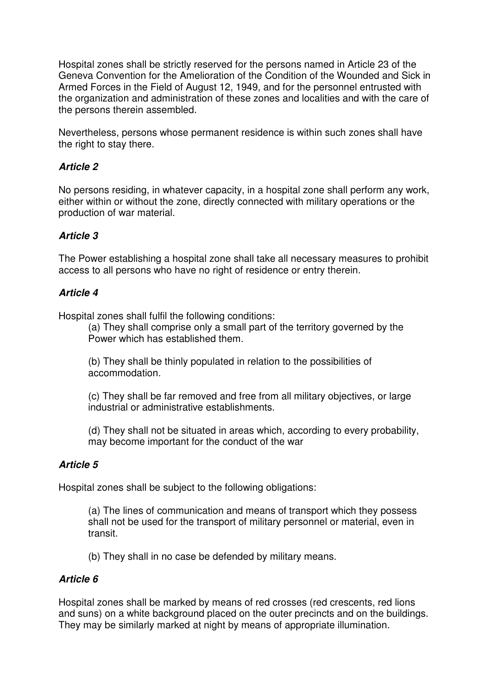Hospital zones shall be strictly reserved for the persons named in Article 23 of the Geneva Convention for the Amelioration of the Condition of the Wounded and Sick in Armed Forces in the Field of August 12, 1949, and for the personnel entrusted with the organization and administration of these zones and localities and with the care of the persons therein assembled.

Nevertheless, persons whose permanent residence is within such zones shall have the right to stay there.

## **Article 2**

No persons residing, in whatever capacity, in a hospital zone shall perform any work, either within or without the zone, directly connected with military operations or the production of war material.

## **Article 3**

The Power establishing a hospital zone shall take all necessary measures to prohibit access to all persons who have no right of residence or entry therein.

## **Article 4**

Hospital zones shall fulfil the following conditions:

(a) They shall comprise only a small part of the territory governed by the Power which has established them.

(b) They shall be thinly populated in relation to the possibilities of accommodation.

(c) They shall be far removed and free from all military objectives, or large industrial or administrative establishments.

(d) They shall not be situated in areas which, according to every probability, may become important for the conduct of the war

## **Article 5**

Hospital zones shall be subject to the following obligations:

(a) The lines of communication and means of transport which they possess shall not be used for the transport of military personnel or material, even in transit.

(b) They shall in no case be defended by military means.

## **Article 6**

Hospital zones shall be marked by means of red crosses (red crescents, red lions and suns) on a white background placed on the outer precincts and on the buildings. They may be similarly marked at night by means of appropriate illumination.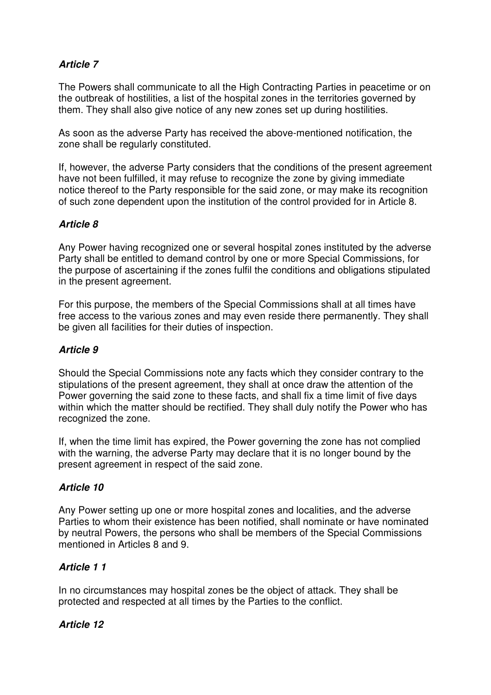# **Article 7**

The Powers shall communicate to all the High Contracting Parties in peacetime or on the outbreak of hostilities, a list of the hospital zones in the territories governed by them. They shall also give notice of any new zones set up during hostilities.

As soon as the adverse Party has received the above-mentioned notification, the zone shall be regularly constituted.

If, however, the adverse Party considers that the conditions of the present agreement have not been fulfilled, it may refuse to recognize the zone by giving immediate notice thereof to the Party responsible for the said zone, or may make its recognition of such zone dependent upon the institution of the control provided for in Article 8.

# **Article 8**

Any Power having recognized one or several hospital zones instituted by the adverse Party shall be entitled to demand control by one or more Special Commissions, for the purpose of ascertaining if the zones fulfil the conditions and obligations stipulated in the present agreement.

For this purpose, the members of the Special Commissions shall at all times have free access to the various zones and may even reside there permanently. They shall be given all facilities for their duties of inspection.

## **Article 9**

Should the Special Commissions note any facts which they consider contrary to the stipulations of the present agreement, they shall at once draw the attention of the Power governing the said zone to these facts, and shall fix a time limit of five days within which the matter should be rectified. They shall duly notify the Power who has recognized the zone.

If, when the time limit has expired, the Power governing the zone has not complied with the warning, the adverse Party may declare that it is no longer bound by the present agreement in respect of the said zone.

## **Article 10**

Any Power setting up one or more hospital zones and localities, and the adverse Parties to whom their existence has been notified, shall nominate or have nominated by neutral Powers, the persons who shall be members of the Special Commissions mentioned in Articles 8 and 9.

## **Article 1 1**

In no circumstances may hospital zones be the object of attack. They shall be protected and respected at all times by the Parties to the conflict.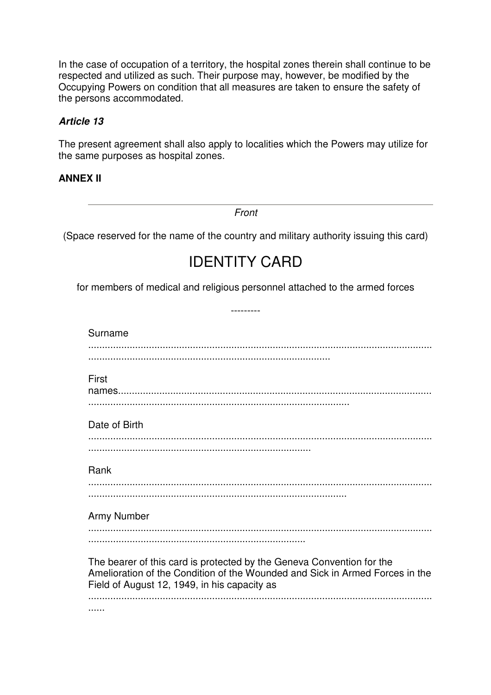In the case of occupation of a territory, the hospital zones therein shall continue to be respected and utilized as such. Their purpose may, however, be modified by the Occupying Powers on condition that all measures are taken to ensure the safety of the persons accommodated.

## **Article 13**

The present agreement shall also apply to localities which the Powers may utilize for the same purposes as hospital zones.

#### **ANNEX II**

Front

(Space reserved for the name of the country and military authority issuing this card)

# IDENTITY CARD

for members of medical and religious personnel attached to the armed forces

---------

| Surname                                                                                                                                                                                               |
|-------------------------------------------------------------------------------------------------------------------------------------------------------------------------------------------------------|
|                                                                                                                                                                                                       |
| First                                                                                                                                                                                                 |
|                                                                                                                                                                                                       |
| Date of Birth                                                                                                                                                                                         |
|                                                                                                                                                                                                       |
|                                                                                                                                                                                                       |
| Rank                                                                                                                                                                                                  |
|                                                                                                                                                                                                       |
|                                                                                                                                                                                                       |
| <b>Army Number</b>                                                                                                                                                                                    |
|                                                                                                                                                                                                       |
| The bearer of this card is protected by the Geneva Convention for the<br>Amelioration of the Condition of the Wounded and Sick in Armed Forces in the<br>Field of August 12, 1949, in his capacity as |
|                                                                                                                                                                                                       |